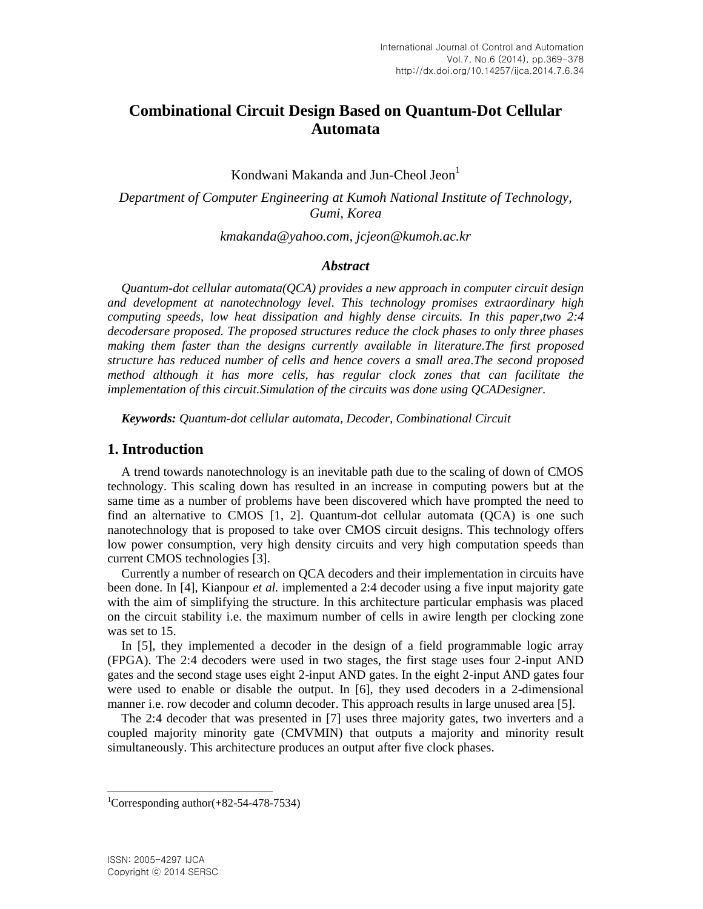# **Combinational Circuit Design Based on Quantum-Dot Cellular Automata**

Kondwani Makanda and Jun-Cheol Jeon<sup>1</sup>

*Department of Computer Engineering at Kumoh National Institute of Technology, Gumi, Korea*

*[kmakanda@yahoo.com,](mailto:kmakanda@yahoo.com) jcjeon@kumoh.ac.kr*

#### *Abstract*

*Quantum-dot cellular automata(QCA) provides a new approach in computer circuit design and development at nanotechnology level. This technology promises extraordinary high computing speeds, low heat dissipation and highly dense circuits. In this paper,two 2:4 decodersare proposed. The proposed structures reduce the clock phases to only three phases making them faster than the designs currently available in literature.The first proposed structure has reduced number of cells and hence covers a small area.The second proposed method although it has more cells, has regular clock zones that can facilitate the implementation of this circuit.Simulation of the circuits was done using QCADesigner.*

*Keywords: Quantum-dot cellular automata, Decoder, Combinational Circuit*

### **1. Introduction**

A trend towards nanotechnology is an inevitable path due to the scaling of down of CMOS technology. This scaling down has resulted in an increase in computing powers but at the same time as a number of problems have been discovered which have prompted the need to find an alternative to CMOS [1, 2]. Quantum-dot cellular automata (QCA) is one such nanotechnology that is proposed to take over CMOS circuit designs. This technology offers low power consumption, very high density circuits and very high computation speeds than current CMOS technologies [3].

Currently a number of research on QCA decoders and their implementation in circuits have been done. In [4], Kianpour *et al.* implemented a 2:4 decoder using a five input majority gate with the aim of simplifying the structure. In this architecture particular emphasis was placed on the circuit stability i.e. the maximum number of cells in awire length per clocking zone was set to 15.

In [5], they implemented a decoder in the design of a field programmable logic array (FPGA). The 2:4 decoders were used in two stages, the first stage uses four 2-input AND gates and the second stage uses eight 2-input AND gates. In the eight 2-input AND gates four were used to enable or disable the output. In [6], they used decoders in a 2-dimensional manner i.e. row decoder and column decoder. This approach results in large unused area [5].

The 2:4 decoder that was presented in [7] uses three majority gates, two inverters and a coupled majority minority gate (CMVMIN) that outputs a majority and minority result simultaneously. This architecture produces an output after five clock phases.

l

<sup>&</sup>lt;sup>1</sup>Corresponding author $(+82-54-478-7534)$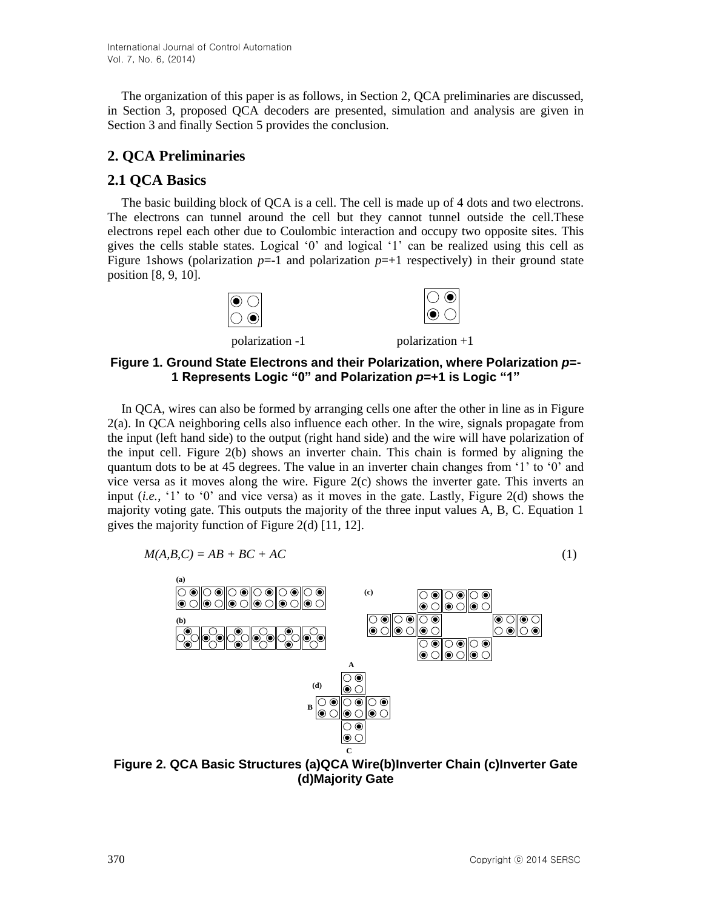The organization of this paper is as follows, in Section 2, QCA preliminaries are discussed, in Section 3, proposed QCA decoders are presented, simulation and analysis are given in Section 3 and finally Section 5 provides the conclusion.

# **2. QCA Preliminaries**

### **2.1 QCA Basics**

The basic building block of QCA is a cell. The cell is made up of 4 dots and two electrons. The electrons can tunnel around the cell but they cannot tunnel outside the cell.These electrons repel each other due to Coulombic interaction and occupy two opposite sites. This gives the cells stable states. Logical '0' and logical '1' can be realized using this cell as Figure 1shows (polarization  $p=-1$  and polarization  $p=+1$  respectively) in their ground state position [8, 9, 10].



### **Figure 1. Ground State Electrons and their Polarization, where Polarization** *p***=- 1 Represents Logic "0" and Polarization** *p=***+1 is Logic "1"**

In QCA, wires can also be formed by arranging cells one after the other in line as in Figure 2(a). In QCA neighboring cells also influence each other. In the wire, signals propagate from the input (left hand side) to the output (right hand side) and the wire will have polarization of the input cell. Figure 2(b) shows an inverter chain. This chain is formed by aligning the quantum dots to be at 45 degrees. The value in an inverter chain changes from '1' to '0' and vice versa as it moves along the wire. Figure 2(c) shows the inverter gate. This inverts an input (*i.e.*, '1' to '0' and vice versa) as it moves in the gate. Lastly, Figure 2(d) shows the majority voting gate. This outputs the majority of the three input values A, B, C. Equation 1 gives the majority function of Figure 2(d) [11, 12].

$$
M(A, B, C) = AB + BC + AC \tag{1}
$$



**Figure 2. QCA Basic Structures (a)QCA Wire(b)Inverter Chain (c)Inverter Gate (d)Majority Gate**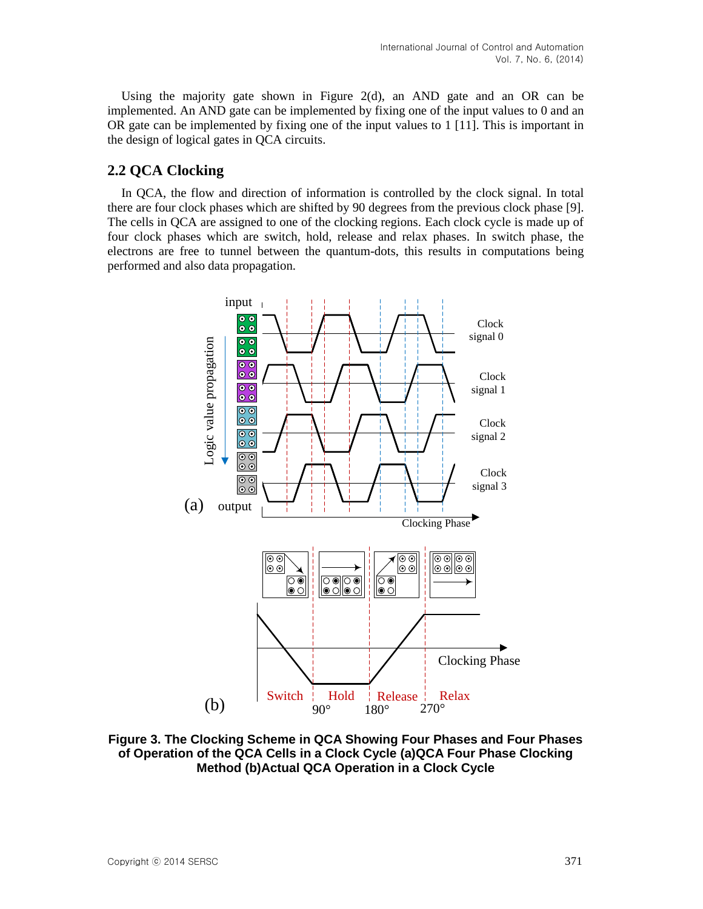Using the majority gate shown in Figure  $2(d)$ , an AND gate and an OR can be implemented. An AND gate can be implemented by fixing one of the input values to 0 and an OR gate can be implemented by fixing one of the input values to 1 [11]. This is important in the design of logical gates in QCA circuits.

### **2.2 QCA Clocking**

In QCA, the flow and direction of information is controlled by the clock signal. In total there are four clock phases which are shifted by 90 degrees from the previous clock phase [9]. The cells in QCA are assigned to one of the clocking regions. Each clock cycle is made up of four clock phases which are switch, hold, release and relax phases. In switch phase, the electrons are free to tunnel between the quantum-dots, this results in computations being performed and also data propagation.



**Figure 3. The Clocking Scheme in QCA Showing Four Phases and Four Phases of Operation of the QCA Cells in a Clock Cycle (a)QCA Four Phase Clocking Method (b)Actual QCA Operation in a Clock Cycle**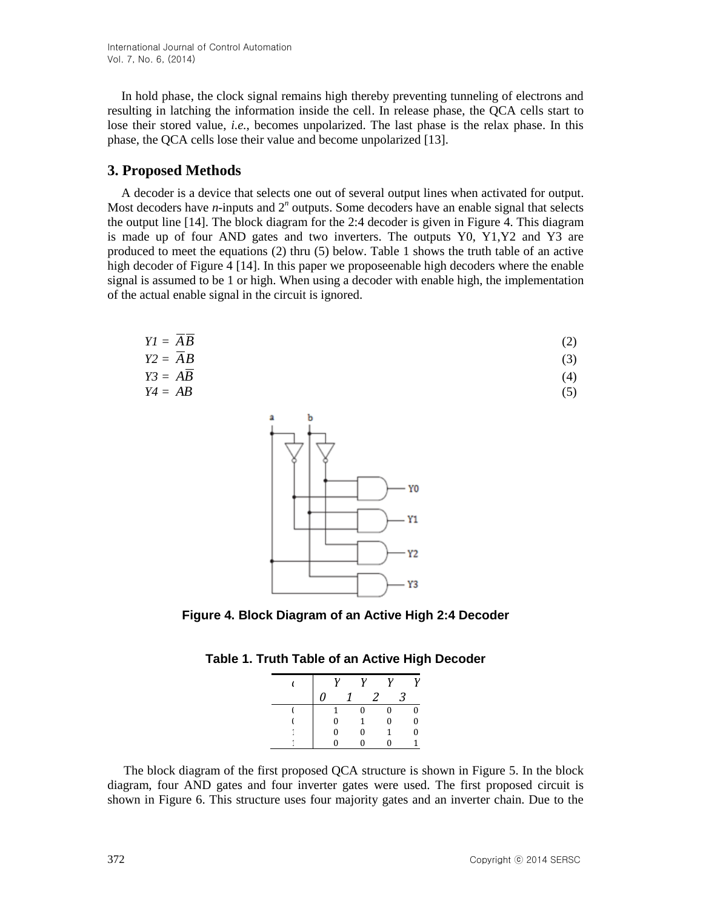In hold phase, the clock signal remains high thereby preventing tunneling of electrons and resulting in latching the information inside the cell. In release phase, the QCA cells start to lose their stored value, *i.e.*, becomes unpolarized. The last phase is the relax phase. In this phase, the QCA cells lose their value and become unpolarized [13].

### **3. Proposed Methods**

A decoder is a device that selects one out of several output lines when activated for output. Most decoders have *n*-inputs and  $2<sup>n</sup>$  outputs. Some decoders have an enable signal that selects the output line [14]. The block diagram for the 2:4 decoder is given in Figure 4. This diagram is made up of four AND gates and two inverters. The outputs Y0, Y1,Y2 and Y3 are produced to meet the equations (2) thru (5) below. Table 1 shows the truth table of an active high decoder of Figure 4 [14]. In this paper we proposeenable high decoders where the enable signal is assumed to be 1 or high. When using a decoder with enable high, the implementation of the actual enable signal in the circuit is ignored.

$$
YI = \overline{A}\overline{B}
$$
  
\n
$$
Y2 = \overline{A}B
$$
  
\n
$$
Y3 = A\overline{B}
$$
\n(2)  
\n(3)  
\n(3)  
\n(4)

$$
Y4 = AB \tag{5}
$$



**Figure 4. Block Diagram of an Active High 2:4 Decoder**

|  |  |  |  |  |  | Table 1. Truth Table of an Active High Decoder |
|--|--|--|--|--|--|------------------------------------------------|
|--|--|--|--|--|--|------------------------------------------------|

|   | ν | ν        | ν |   | 12 |
|---|---|----------|---|---|----|
| 0 |   |          |   | 3 |    |
|   |   | 0        | 0 |   |    |
|   | 0 | 1        | 0 |   | 0  |
|   | 0 | $\theta$ | 1 |   | Λ  |
|   |   |          | n |   |    |

The block diagram of the first proposed QCA structure is shown in Figure 5. In the block diagram, four AND gates and four inverter gates were used. The first proposed circuit is shown in Figure 6. This structure uses four majority gates and an inverter chain. Due to the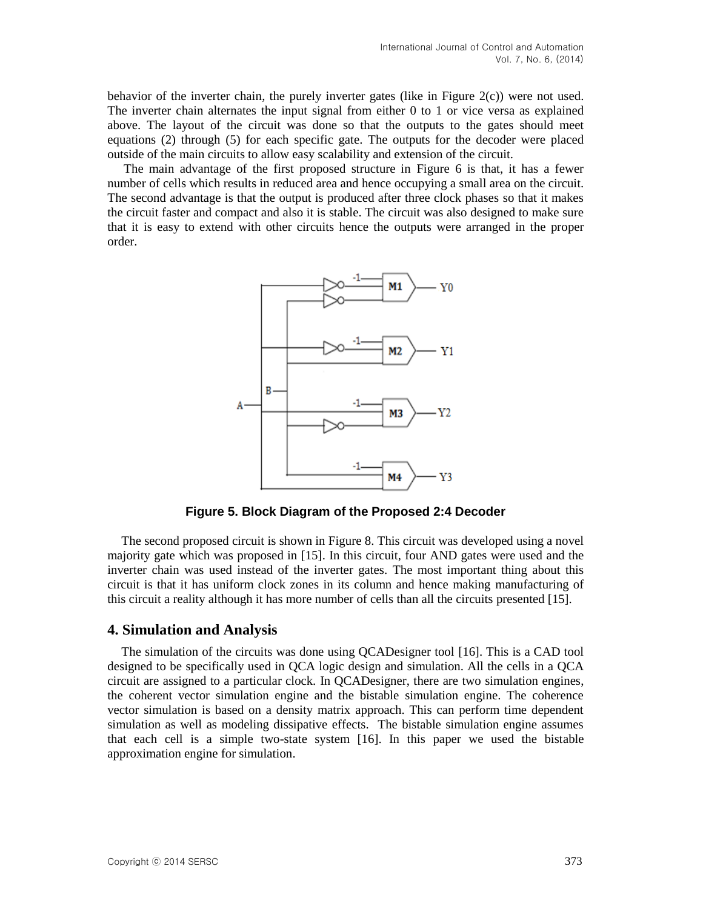behavior of the inverter chain, the purely inverter gates (like in Figure  $2(c)$ ) were not used. The inverter chain alternates the input signal from either 0 to 1 or vice versa as explained above. The layout of the circuit was done so that the outputs to the gates should meet equations (2) through (5) for each specific gate. The outputs for the decoder were placed outside of the main circuits to allow easy scalability and extension of the circuit.

The main advantage of the first proposed structure in Figure 6 is that, it has a fewer number of cells which results in reduced area and hence occupying a small area on the circuit. The second advantage is that the output is produced after three clock phases so that it makes the circuit faster and compact and also it is stable. The circuit was also designed to make sure that it is easy to extend with other circuits hence the outputs were arranged in the proper order.



**Figure 5. Block Diagram of the Proposed 2:4 Decoder**

The second proposed circuit is shown in Figure 8. This circuit was developed using a novel majority gate which was proposed in [15]. In this circuit, four AND gates were used and the inverter chain was used instead of the inverter gates. The most important thing about this circuit is that it has uniform clock zones in its column and hence making manufacturing of this circuit a reality although it has more number of cells than all the circuits presented [15].

#### **4. Simulation and Analysis**

The simulation of the circuits was done using QCADesigner tool [16]. This is a CAD tool designed to be specifically used in QCA logic design and simulation. All the cells in a QCA circuit are assigned to a particular clock. In QCADesigner, there are two simulation engines, the coherent vector simulation engine and the bistable simulation engine. The coherence vector simulation is based on a density matrix approach. This can perform time dependent simulation as well as modeling dissipative effects. The bistable simulation engine assumes that each cell is a simple two-state system [16]. In this paper we used the bistable approximation engine for simulation.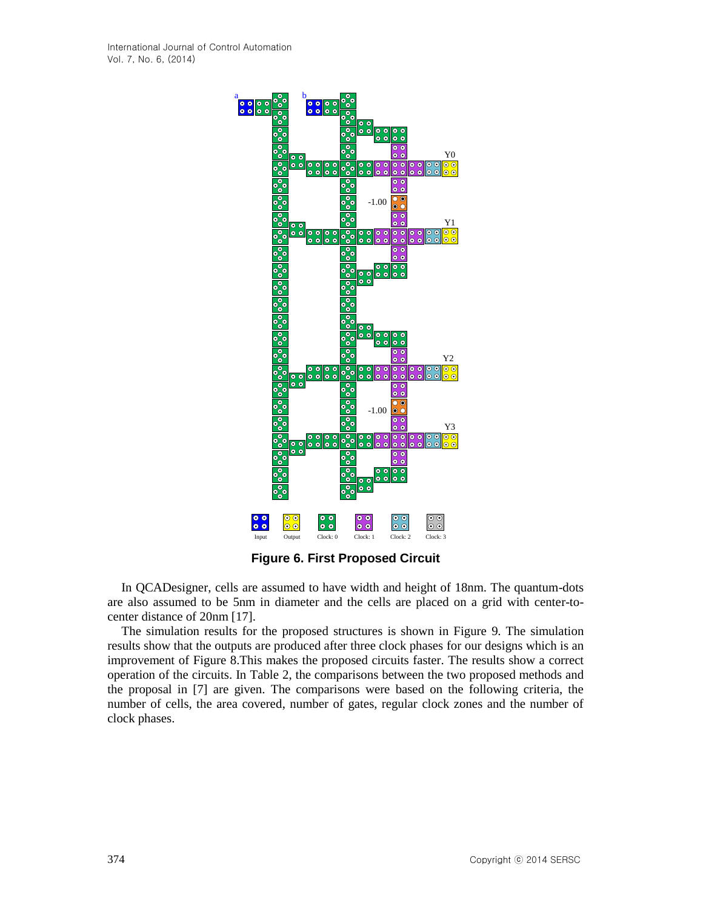

**Figure 6. First Proposed Circuit**

In QCADesigner, cells are assumed to have width and height of 18nm. The quantum-dots are also assumed to be 5nm in diameter and the cells are placed on a grid with center-tocenter distance of 20nm [17].

The simulation results for the proposed structures is shown in Figure 9. The simulation results show that the outputs are produced after three clock phases for our designs which is an improvement of Figure 8.This makes the proposed circuits faster. The results show a correct operation of the circuits. In Table 2, the comparisons between the two proposed methods and the proposal in [7] are given. The comparisons were based on the following criteria, the number of cells, the area covered, number of gates, regular clock zones and the number of clock phases.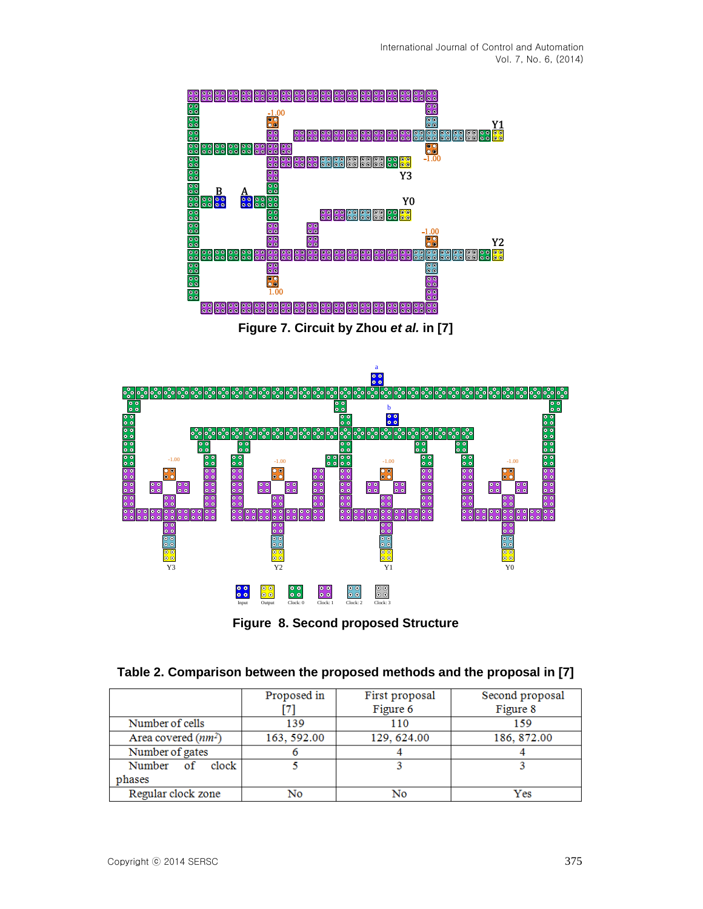







| Table 2. Comparison between the proposed methods and the proposal in [7] |  |  |  |  |  |  |
|--------------------------------------------------------------------------|--|--|--|--|--|--|
|--------------------------------------------------------------------------|--|--|--|--|--|--|

|                       | Proposed in | First proposal | Second proposal |  |  |
|-----------------------|-------------|----------------|-----------------|--|--|
|                       |             | Figure 6       | Figure 8        |  |  |
| Number of cells       | 139         | 110            |                 |  |  |
| Area covered $(nm^2)$ | 163, 592.00 | 129, 624.00    | 186, 872.00     |  |  |
| Number of gates       |             |                |                 |  |  |
| Number<br>clock       |             |                |                 |  |  |
| phases                |             |                |                 |  |  |
| Regular clock zone    | No          | No             | Yes             |  |  |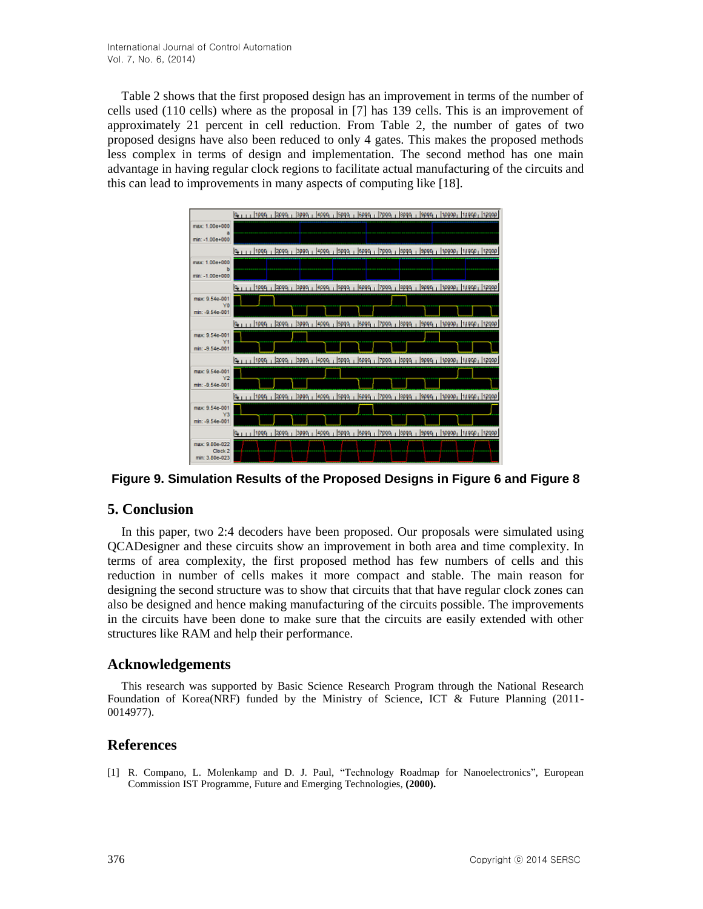Table 2 shows that the first proposed design has an improvement in terms of the number of cells used (110 cells) where as the proposal in [7] has 139 cells. This is an improvement of approximately 21 percent in cell reduction. From Table 2, the number of gates of two proposed designs have also been reduced to only 4 gates. This makes the proposed methods less complex in terms of design and implementation. The second method has one main advantage in having regular clock regions to facilitate actual manufacturing of the circuits and this can lead to improvements in many aspects of computing like [18].



**Figure 9. Simulation Results of the Proposed Designs in Figure 6 and Figure 8**

## **5. Conclusion**

In this paper, two 2:4 decoders have been proposed. Our proposals were simulated using QCADesigner and these circuits show an improvement in both area and time complexity. In terms of area complexity, the first proposed method has few numbers of cells and this reduction in number of cells makes it more compact and stable. The main reason for designing the second structure was to show that circuits that that have regular clock zones can also be designed and hence making manufacturing of the circuits possible. The improvements in the circuits have been done to make sure that the circuits are easily extended with other structures like RAM and help their performance.

### **Acknowledgements**

This research was supported by Basic Science Research Program through the National Research Foundation of Korea(NRF) funded by the Ministry of Science, ICT & Future Planning (2011- 0014977).

### **References**

[1] R. Compano, L. Molenkamp and D. J. Paul, "Technology Roadmap for Nanoelectronics", European Commission IST Programme, Future and Emerging Technologies, **(2000).**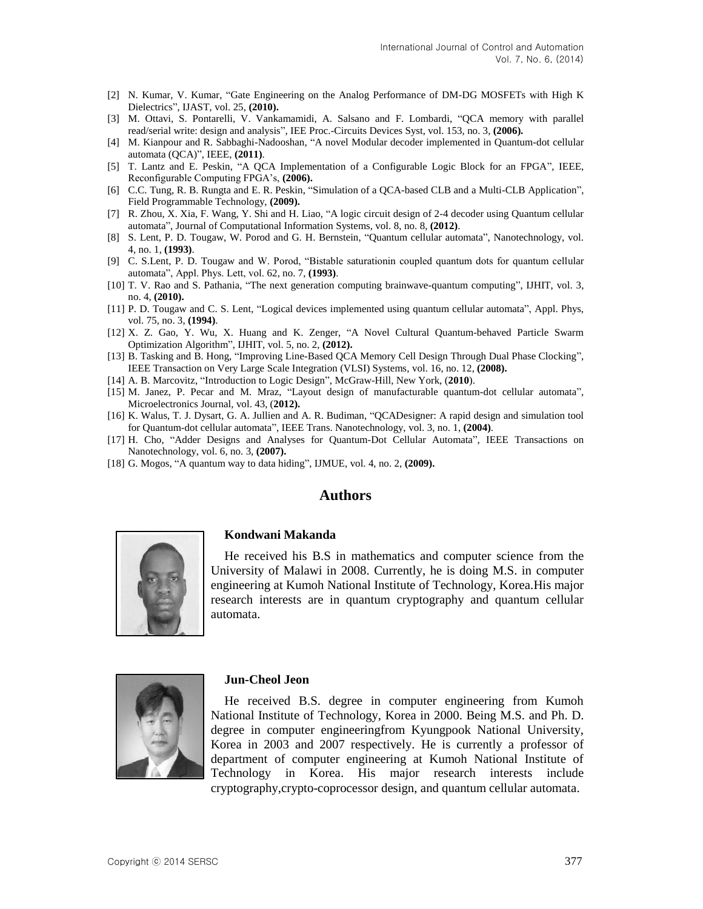- [2] N. Kumar, V. Kumar, "Gate Engineering on the Analog Performance of DM-DG MOSFETs with High K Dielectrics", IJAST, vol. 25, **(2010).**
- [3] M. Ottavi, S. Pontarelli, V. Vankamamidi, A. Salsano and F. Lombardi, "QCA memory with parallel read/serial write: design and analysis", IEE Proc.-Circuits Devices Syst, vol. 153, no. 3, **(2006).**
- [4] M. Kianpour and R. Sabbaghi-Nadooshan, "A novel Modular decoder implemented in Quantum-dot cellular automata (QCA)", IEEE, **(2011)**.
- [5] T. Lantz and E. Peskin, "A QCA Implementation of a Configurable Logic Block for an FPGA", IEEE, Reconfigurable Computing FPGA's, **(2006).**
- [6] C.C. Tung, R. B. Rungta and E. R. Peskin, "Simulation of a QCA-based CLB and a Multi-CLB Application", Field Programmable Technology, **(2009).**
- [7] R. Zhou, X. Xia, F. Wang, Y. Shi and H. Liao, "A logic circuit design of 2-4 decoder using Quantum cellular automata", Journal of Computational Information Systems, vol. 8, no. 8, **(2012)**.
- [8] S. Lent, P. D. Tougaw, W. Porod and G. H. Bernstein, "Quantum cellular automata", Nanotechnology, vol. 4, no. 1, **(1993)**.
- [9] C. S.Lent, P. D. Tougaw and W. Porod, "Bistable saturationin coupled quantum dots for quantum cellular automata", Appl. Phys. Lett, vol. 62, no. 7, **(1993)**.
- [10] T. V. Rao and S. Pathania, "The next generation computing brainwave-quantum computing", IJHIT, vol. 3, no. 4, **(2010).**
- [11] P. D. Tougaw and C. S. Lent, "Logical devices implemented using quantum cellular automata", Appl. Phys, vol. 75, no. 3, **(1994)**.
- [12] X. Z. Gao, Y. Wu, X. Huang and K. Zenger, "A Novel Cultural Quantum-behaved Particle Swarm Optimization Algorithm", IJHIT, vol. 5, no. 2, **(2012).**
- [13] B. Tasking and B. Hong, "Improving Line-Based QCA Memory Cell Design Through Dual Phase Clocking", IEEE Transaction on Very Large Scale Integration (VLSI) Systems, vol. 16, no. 12, **(2008).**
- [14] A. B. Marcovitz, "Introduction to Logic Design", McGraw-Hill, New York, (**2010**).
- [15] M. Janez, P. Pecar and M. Mraz, "Layout design of manufacturable quantum-dot cellular automata", Microelectronics Journal, vol. 43, (**2012).**
- [16] K. Walus, T. J. Dysart, G. A. Jullien and A. R. Budiman, "QCADesigner: A rapid design and simulation tool for Quantum-dot cellular automata", IEEE Trans. Nanotechnology, vol. 3, no. 1, **(2004)**.
- [17] H. Cho, "Adder Designs and Analyses for Quantum-Dot Cellular Automata", IEEE Transactions on Nanotechnology, vol. 6, no. 3, **(2007).**
- [18] G. Mogos, "A quantum way to data hiding", IJMUE, vol. 4, no. 2, **(2009).**

#### **Authors**



#### **Kondwani Makanda**

He received his B.S in mathematics and computer science from the University of Malawi in 2008. Currently, he is doing M.S. in computer engineering at Kumoh National Institute of Technology, Korea.His major research interests are in quantum cryptography and quantum cellular automata.



#### **Jun-Cheol Jeon**

He received B.S. degree in computer engineering from Kumoh National Institute of Technology, Korea in 2000. Being M.S. and Ph. D. degree in computer engineeringfrom Kyungpook National University, Korea in 2003 and 2007 respectively. He is currently a professor of department of computer engineering at Kumoh National Institute of Technology in Korea. His major research interests include cryptography,crypto-coprocessor design, and quantum cellular automata.